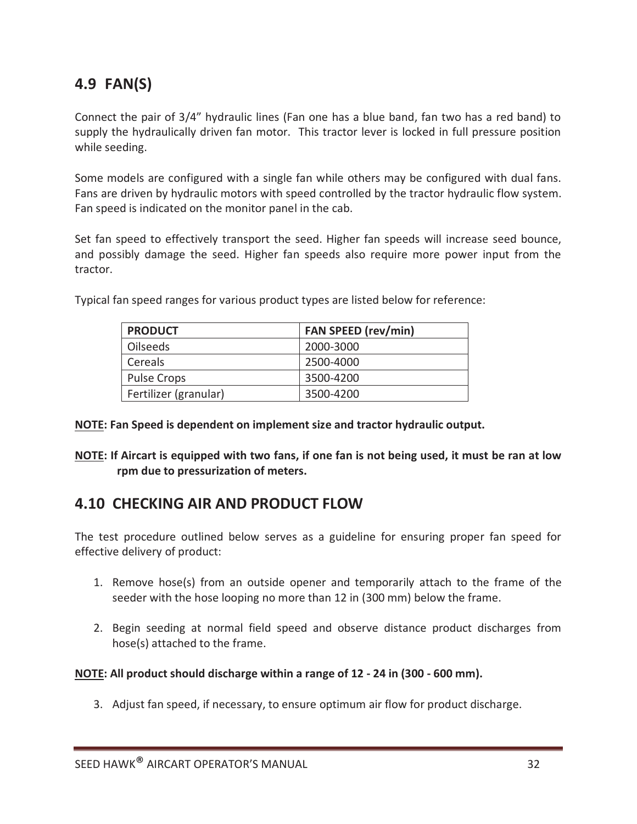## **4.9 FAN(S)**

Connect the pair of 3/4" hydraulic lines (Fan one has a blue band, fan two has a red band) to supply the hydraulically driven fan motor. This tractor lever is locked in full pressure position while seeding.

Some models are configured with a single fan while others may be configured with dual fans. Fans are driven by hydraulic motors with speed controlled by the tractor hydraulic flow system. Fan speed is indicated on the monitor panel in the cab.

Set fan speed to effectively transport the seed. Higher fan speeds will increase seed bounce, and possibly damage the seed. Higher fan speeds also require more power input from the tractor.

| <b>PRODUCT</b>        | <b>FAN SPEED (rev/min)</b> |
|-----------------------|----------------------------|
| <b>Oilseeds</b>       | 2000-3000                  |
| Cereals               | 2500-4000                  |
| <b>Pulse Crops</b>    | 3500-4200                  |
| Fertilizer (granular) | 3500-4200                  |

Typical fan speed ranges for various product types are listed below for reference:

## **NOTE: Fan Speed is dependent on implement size and tractor hydraulic output.**

**NOTE: If Aircart is equipped with two fans, if one fan is not being used, it must be ran at low rpm due to pressurization of meters.** 

## **4.10 CHECKING AIR AND PRODUCT FLOW**

The test procedure outlined below serves as a guideline for ensuring proper fan speed for effective delivery of product:

- 1. Remove hose(s) from an outside opener and temporarily attach to the frame of the seeder with the hose looping no more than 12 in (300 mm) below the frame.
- 2. Begin seeding at normal field speed and observe distance product discharges from hose(s) attached to the frame.

## **NOTE: All product should discharge within a range of 12 - 24 in (300 - 600 mm).**

3. Adjust fan speed, if necessary, to ensure optimum air flow for product discharge.